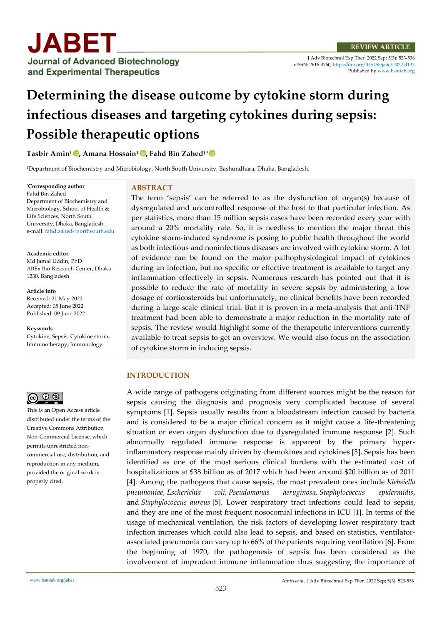

J Adv Biotechnol Exp Ther. 2022 Sep; 5(3): 523-536 eISSN: 2616-4760[, https://doi.org/10.5455/jabet.2022.d133](https://doi.org/10.5455/jabet.2022.d133)  Published b[y www.bsmiab.org](http://www.bsmiab.org/)

# **Determining the disease outcome by cytokine storm during infectious diseases and targeting cytokines during sepsis: Possible therapeutic options**

**Tasbir Amin<sup>1</sup> [,](https://orcid.org/0000-0001-5265-8769) Amana Hossain<sup>1</sup> [,](https://orcid.org/0000-0002-1034-2173) Fahd Bin Zahed1,\***

<sup>1</sup>Department of Biochemistry and Microbiology, North South University, Bashundhara, Dhaka, Bangladesh.

\***Corresponding author** Fahd Bin Zahed Department of Biochemistry and Microbiology, School of Health & Life Sciences, North South University, Dhaka, Bangladesh. e-mail[: fahd.zahed@northsouth.edu](mailto:fahd.zahed@northsouth.edu)

**Academic editor**  Md Jamal Uddin, PhD ABEx Bio-Research Center, Dhaka 1230, Bangladesh

**Article info** Received: 21 May 2022 Accepted: 05 June 2022 Published: 09 June 2022

**Keywords**

Cytokine, Sepsis; Cytokine storm; Immunotherapy; Immunology.



This is an Open Access article distributed under the terms of the Creative Commons Attribution Non-Commercial License, which permits unrestricted noncommercial use, distribution, and reproduction in any medium, provided the original work is properly cited.

#### **ABSTRACT**

The term 'sepsis' can be referred to as the dysfunction of organ(s) because of dysregulated and uncontrolled response of the host to that particular infection. As per statistics, more than 15 million sepsis cases have been recorded every year with around a 20% mortality rate. So, it is needless to mention the major threat this cytokine storm-induced syndrome is posing to public health throughout the world as both infectious and noninfectious diseases are involved with cytokine storm. A lot of evidence can be found on the major pathophysiological impact of cytokines during an infection, but no specific or effective treatment is available to target any inflammation effectively in sepsis. Numerous research has pointed out that it is possible to reduce the rate of mortality in severe sepsis by administering a low dosage of corticosteroids but unfortunately, no clinical benefits have been recorded during a large-scale clinical trial. But it is proven in a meta-analysis that anti-TNF treatment had been able to demonstrate a major reduction in the mortality rate of sepsis. The review would highlight some of the therapeutic interventions currently available to treat sepsis to get an overview. We would also focus on the association of cytokine storm in inducing sepsis.

# **INTRODUCTION**

A wide range of pathogens originating from different sources might be the reason for sepsis causing the diagnosis and prognosis very complicated because of several symptoms [1]. Sepsis usually results from a bloodstream infection caused by bacteria and is considered to be a major clinical concern as it might cause a life-threatening situation or even organ dysfunction due to dysregulated immune response [2]. Such abnormally regulated immune response is apparent by the primary hyperinflammatory response mainly driven by chemokines and cytokines [3]. Sepsis has been identified as one of the most serious clinical burdens with the estimated cost of hospitalizations at \$38 billion as of 2017 which had been around \$20 billion as of 2011 [4]. Among the pathogens that cause sepsis, the most prevalent ones include *Klebsiella pneumoniae*, *Escherichia coli*, *Pseudomonas aeruginosa*, *Staphylococcus epidermidis*, and *Staphylococcus aureus* [5]. Lower respiratory tract infections could lead to sepsis, and they are one of the most frequent nosocomial infections in ICU [1]. In terms of the usage of mechanical ventilation, the risk factors of developing lower respiratory tract infection increases which could also lead to sepsis, and based on statistics, ventilatorassociated pneumonia can vary up to 66% of the patients requiring ventilation [6]. From the beginning of 1970, the pathogenesis of sepsis has been considered as the involvement of imprudent immune inflammation thus suggesting the importance of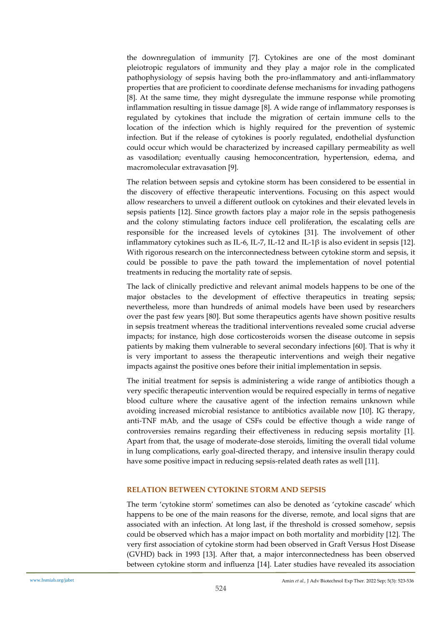the downregulation of immunity [7]. Cytokines are one of the most dominant pleiotropic regulators of immunity and they play a major role in the complicated pathophysiology of sepsis having both the pro-inflammatory and anti-inflammatory properties that are proficient to coordinate defense mechanisms for invading pathogens [8]. At the same time, they might dysregulate the immune response while promoting inflammation resulting in tissue damage [8]. A wide range of inflammatory responses is regulated by cytokines that include the migration of certain immune cells to the location of the infection which is highly required for the prevention of systemic infection. But if the release of cytokines is poorly regulated, endothelial dysfunction could occur which would be characterized by increased capillary permeability as well as vasodilation; eventually causing hemoconcentration, hypertension, edema, and macromolecular extravasation [9].

The relation between sepsis and cytokine storm has been considered to be essential in the discovery of effective therapeutic interventions. Focusing on this aspect would allow researchers to unveil a different outlook on cytokines and their elevated levels in sepsis patients [12]. Since growth factors play a major role in the sepsis pathogenesis and the colony stimulating factors induce cell proliferation, the escalating cells are responsible for the increased levels of cytokines [31]. The involvement of other inflammatory cytokines such as IL-6, IL-7, IL-12 and IL-1β is also evident in sepsis [12]. With rigorous research on the interconnectedness between cytokine storm and sepsis, it could be possible to pave the path toward the implementation of novel potential treatments in reducing the mortality rate of sepsis.

The lack of clinically predictive and relevant animal models happens to be one of the major obstacles to the development of effective therapeutics in treating sepsis; nevertheless, more than hundreds of animal models have been used by researchers over the past few years [80]. But some therapeutics agents have shown positive results in sepsis treatment whereas the traditional interventions revealed some crucial adverse impacts; for instance, high dose corticosteroids worsen the disease outcome in sepsis patients by making them vulnerable to several secondary infections [60]. That is why it is very important to assess the therapeutic interventions and weigh their negative impacts against the positive ones before their initial implementation in sepsis.

The initial treatment for sepsis is administering a wide range of antibiotics though a very specific therapeutic intervention would be required especially in terms of negative blood culture where the causative agent of the infection remains unknown while avoiding increased microbial resistance to antibiotics available now [10]. IG therapy, anti-TNF mAb, and the usage of CSFs could be effective though a wide range of controversies remains regarding their effectiveness in reducing sepsis mortality [1]. Apart from that, the usage of moderate-dose steroids, limiting the overall tidal volume in lung complications, early goal-directed therapy, and intensive insulin therapy could have some positive impact in reducing sepsis-related death rates as well [11].

# **RELATION BETWEEN CYTOKINE STORM AND SEPSIS**

The term 'cytokine storm' sometimes can also be denoted as 'cytokine cascade' which happens to be one of the main reasons for the diverse, remote, and local signs that are associated with an infection. At long last, if the threshold is crossed somehow, sepsis could be observed which has a major impact on both mortality and morbidity [12]. The very first association of cytokine storm had been observed in Graft Versus Host Disease (GVHD) back in 1993 [13]. After that, a major interconnectedness has been observed between cytokine storm and influenza [14]. Later studies have revealed its association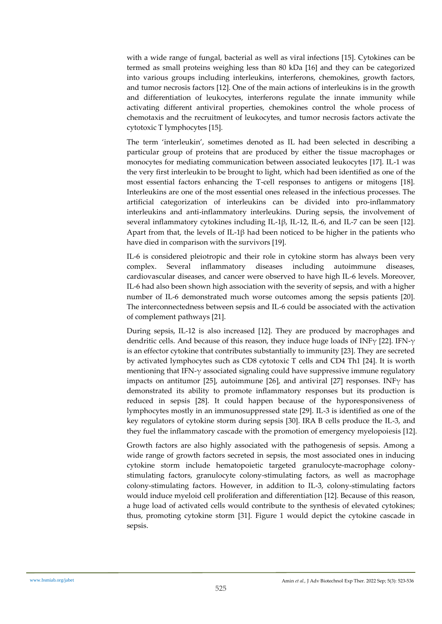with a wide range of fungal, bacterial as well as viral infections [15]. Cytokines can be termed as small proteins weighing less than 80 kDa [16] and they can be categorized into various groups including interleukins, interferons, chemokines, growth factors, and tumor necrosis factors [12]. One of the main actions of interleukins is in the growth and differentiation of leukocytes, interferons regulate the innate immunity while activating different antiviral properties, chemokines control the whole process of chemotaxis and the recruitment of leukocytes, and tumor necrosis factors activate the cytotoxic T lymphocytes [15].

The term 'interleukin', sometimes denoted as IL had been selected in describing a particular group of proteins that are produced by either the tissue macrophages or monocytes for mediating communication between associated leukocytes [17]. IL-1 was the very first interleukin to be brought to light, which had been identified as one of the most essential factors enhancing the T-cell responses to antigens or mitogens [18]. Interleukins are one of the most essential ones released in the infectious processes. The artificial categorization of interleukins can be divided into pro-inflammatory interleukins and anti-inflammatory interleukins. During sepsis, the involvement of several inflammatory cytokines including IL-1β, IL-12, IL-6, and IL-7 can be seen [12]. Apart from that, the levels of IL-1β had been noticed to be higher in the patients who have died in comparison with the survivors [19].

IL-6 is considered pleiotropic and their role in cytokine storm has always been very complex. Several inflammatory diseases including autoimmune diseases, cardiovascular diseases, and cancer were observed to have high IL-6 levels. Moreover, IL-6 had also been shown high association with the severity of sepsis, and with a higher number of IL-6 demonstrated much worse outcomes among the sepsis patients [20]. The interconnectedness between sepsis and IL-6 could be associated with the activation of complement pathways [21].

During sepsis, IL-12 is also increased [12]. They are produced by macrophages and dendritic cells. And because of this reason, they induce huge loads of INFγ [22]. IFN-γ is an effector cytokine that contributes substantially to immunity [23]. They are secreted by activated lymphocytes such as CD8 cytotoxic T cells and CD4 Th1 [24]. It is worth mentioning that IFN-γ associated signaling could have suppressive immune regulatory impacts on antitumor [25], autoimmune [26], and antiviral [27] responses. INF $\gamma$  has demonstrated its ability to promote inflammatory responses but its production is reduced in sepsis [28]. It could happen because of the hyporesponsiveness of lymphocytes mostly in an immunosuppressed state [29]. IL-3 is identified as one of the key regulators of cytokine storm during sepsis [30]. IRA B cells produce the IL-3, and they fuel the inflammatory cascade with the promotion of emergency myelopoiesis [12].

Growth factors are also highly associated with the pathogenesis of sepsis. Among a wide range of growth factors secreted in sepsis, the most associated ones in inducing cytokine storm include hematopoietic targeted granulocyte-macrophage colonystimulating factors, granulocyte colony-stimulating factors, as well as macrophage colony-stimulating factors. However, in addition to IL-3, colony-stimulating factors would induce myeloid cell proliferation and differentiation [12]. Because of this reason, a huge load of activated cells would contribute to the synthesis of elevated cytokines; thus, promoting cytokine storm [31]. Figure 1 would depict the cytokine cascade in sepsis.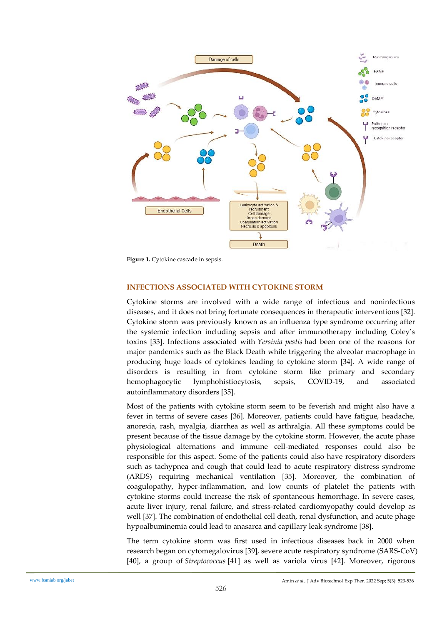

**Figure 1.** Cytokine cascade in sepsis.

## **INFECTIONS ASSOCIATED WITH CYTOKINE STORM**

Cytokine storms are involved with a wide range of infectious and noninfectious diseases, and it does not bring fortunate consequences in therapeutic interventions [32]. Cytokine storm was previously known as an influenza type syndrome occurring after the systemic infection including sepsis and after immunotherapy including Coley's toxins [33]. Infections associated with *Yersinia pestis* had been one of the reasons for major pandemics such as the Black Death while triggering the alveolar macrophage in producing huge loads of cytokines leading to cytokine storm [34]. A wide range of disorders is resulting in from cytokine storm like primary and secondary hemophagocytic lymphohistiocytosis, sepsis, COVID-19, and associated autoinflammatory disorders [35].

Most of the patients with cytokine storm seem to be feverish and might also have a fever in terms of severe cases [36]. Moreover, patients could have fatigue, headache, anorexia, rash, myalgia, diarrhea as well as arthralgia. All these symptoms could be present because of the tissue damage by the cytokine storm. However, the acute phase physiological alternations and immune cell-mediated responses could also be responsible for this aspect. Some of the patients could also have respiratory disorders such as tachypnea and cough that could lead to acute respiratory distress syndrome (ARDS) requiring mechanical ventilation [35]. Moreover, the combination of coagulopathy, hyper-inflammation, and low counts of platelet the patients with cytokine storms could increase the risk of spontaneous hemorrhage. In severe cases, acute liver injury, renal failure, and stress-related cardiomyopathy could develop as well [37]. The combination of endothelial cell death, renal dysfunction, and acute phage hypoalbuminemia could lead to anasarca and capillary leak syndrome [38].

The term cytokine storm was first used in infectious diseases back in 2000 when research began on cytomegalovirus [39], severe acute respiratory syndrome (SARS-CoV) [40], a group of *Streptococcus* [41] as well as variola virus [42]. Moreover, rigorous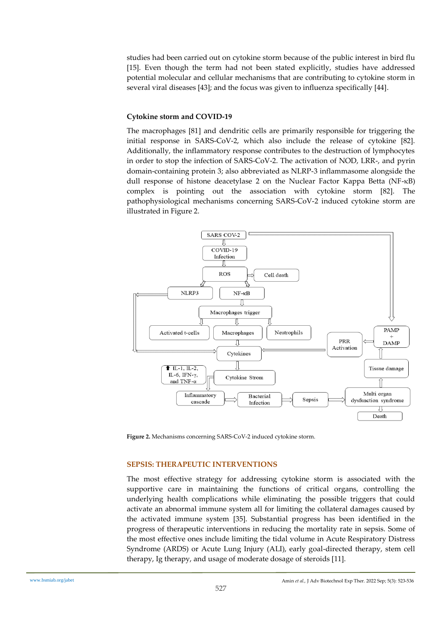studies had been carried out on cytokine storm because of the public interest in bird flu [15]. Even though the term had not been stated explicitly, studies have addressed potential molecular and cellular mechanisms that are contributing to cytokine storm in several viral diseases [43]; and the focus was given to influenza specifically [44].

# **Cytokine storm and COVID-19**

The macrophages [81] and dendritic cells are primarily responsible for triggering the initial response in SARS-CoV-2, which also include the release of cytokine [82]. Additionally, the inflammatory response contributes to the destruction of lymphocytes in order to stop the infection of SARS-CoV-2. The activation of NOD, LRR-, and pyrin domain-containing protein 3; also abbreviated as NLRP-3 inflammasome alongside the dull response of histone deacetylase 2 on the Nuclear Factor Kappa Betta (NF-κB) complex is pointing out the association with cytokine storm [82]. The pathophysiological mechanisms concerning SARS-CoV-2 induced cytokine storm are illustrated in Figure 2.



**Figure 2.** Mechanisms concerning SARS-CoV-2 induced cytokine storm.

# **SEPSIS: THERAPEUTIC INTERVENTIONS**

The most effective strategy for addressing cytokine storm is associated with the supportive care in maintaining the functions of critical organs, controlling the underlying health complications while eliminating the possible triggers that could activate an abnormal immune system all for limiting the collateral damages caused by the activated immune system [35]. Substantial progress has been identified in the progress of therapeutic interventions in reducing the mortality rate in sepsis. Some of the most effective ones include limiting the tidal volume in Acute Respiratory Distress Syndrome (ARDS) or Acute Lung Injury (ALI), early goal-directed therapy, stem cell therapy, Ig therapy, and usage of moderate dosage of steroids [11].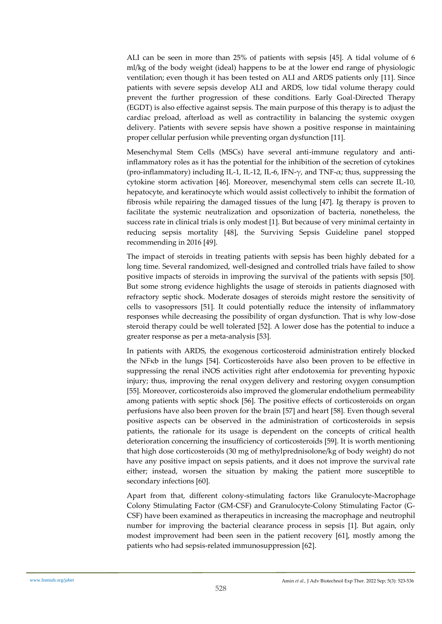ALI can be seen in more than 25% of patients with sepsis [45]. A tidal volume of 6 ml/kg of the body weight (ideal) happens to be at the lower end range of physiologic ventilation; even though it has been tested on ALI and ARDS patients only [11]. Since patients with severe sepsis develop ALI and ARDS, low tidal volume therapy could prevent the further progression of these conditions. Early Goal-Directed Therapy (EGDT) is also effective against sepsis. The main purpose of this therapy is to adjust the cardiac preload, afterload as well as contractility in balancing the systemic oxygen delivery. Patients with severe sepsis have shown a positive response in maintaining proper cellular perfusion while preventing organ dysfunction [11].

Mesenchymal Stem Cells (MSCs) have several anti-immune regulatory and antiinflammatory roles as it has the potential for the inhibition of the secretion of cytokines (pro-inflammatory) including IL-1, IL-12, IL-6, IFN- $\gamma$ , and TNF- $\alpha$ ; thus, suppressing the cytokine storm activation [46]. Moreover, mesenchymal stem cells can secrete IL-10, hepatocyte, and keratinocyte which would assist collectively to inhibit the formation of fibrosis while repairing the damaged tissues of the lung [47]. Ig therapy is proven to facilitate the systemic neutralization and opsonization of bacteria, nonetheless, the success rate in clinical trials is only modest [1]. But because of very minimal certainty in reducing sepsis mortality [48], the Surviving Sepsis Guideline panel stopped recommending in 2016 [49].

The impact of steroids in treating patients with sepsis has been highly debated for a long time. Several randomized, well-designed and controlled trials have failed to show positive impacts of steroids in improving the survival of the patients with sepsis [50]. But some strong evidence highlights the usage of steroids in patients diagnosed with refractory septic shock. Moderate dosages of steroids might restore the sensitivity of cells to vasopressors [51]. It could potentially reduce the intensity of inflammatory responses while decreasing the possibility of organ dysfunction. That is why low-dose steroid therapy could be well tolerated [52]. A lower dose has the potential to induce a greater response as per a meta-analysis [53].

In patients with ARDS, the exogenous corticosteroid administration entirely blocked the NFκb in the lungs [54]. Corticosteroids have also been proven to be effective in suppressing the renal iNOS activities right after endotoxemia for preventing hypoxic injury; thus, improving the renal oxygen delivery and restoring oxygen consumption [55]. Moreover, corticosteroids also improved the glomerular endothelium permeability among patients with septic shock [56]. The positive effects of corticosteroids on organ perfusions have also been proven for the brain [57] and heart [58]. Even though several positive aspects can be observed in the administration of corticosteroids in sepsis patients, the rationale for its usage is dependent on the concepts of critical health deterioration concerning the insufficiency of corticosteroids [59]. It is worth mentioning that high dose corticosteroids (30 mg of methylprednisolone/kg of body weight) do not have any positive impact on sepsis patients, and it does not improve the survival rate either; instead, worsen the situation by making the patient more susceptible to secondary infections [60].

Apart from that, different colony-stimulating factors like Granulocyte-Macrophage Colony Stimulating Factor (GM-CSF) and Granulocyte-Colony Stimulating Factor (G-CSF) have been examined as therapeutics in increasing the macrophage and neutrophil number for improving the bacterial clearance process in sepsis [1]. But again, only modest improvement had been seen in the patient recovery [61], mostly among the patients who had sepsis-related immunosuppression [62].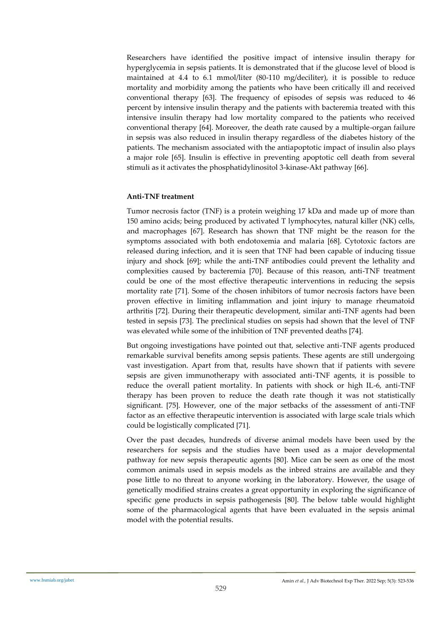Researchers have identified the positive impact of intensive insulin therapy for hyperglycemia in sepsis patients. It is demonstrated that if the glucose level of blood is maintained at 4.4 to 6.1 mmol/liter (80-110 mg/deciliter), it is possible to reduce mortality and morbidity among the patients who have been critically ill and received conventional therapy [63]. The frequency of episodes of sepsis was reduced to 46 percent by intensive insulin therapy and the patients with bacteremia treated with this intensive insulin therapy had low mortality compared to the patients who received conventional therapy [64]. Moreover, the death rate caused by a multiple-organ failure in sepsis was also reduced in insulin therapy regardless of the diabetes history of the patients. The mechanism associated with the antiapoptotic impact of insulin also plays a major role [65]. Insulin is effective in preventing apoptotic cell death from several stimuli as it activates the phosphatidylinositol 3-kinase-Akt pathway [66].

# **Anti-TNF treatment**

Tumor necrosis factor (TNF) is a protein weighing 17 kDa and made up of more than 150 amino acids; being produced by activated T lymphocytes, natural killer (NK) cells, and macrophages [67]. Research has shown that TNF might be the reason for the symptoms associated with both endotoxemia and malaria [68]. Cytotoxic factors are released during infection, and it is seen that TNF had been capable of inducing tissue injury and shock [69]; while the anti-TNF antibodies could prevent the lethality and complexities caused by bacteremia [70]. Because of this reason, anti-TNF treatment could be one of the most effective therapeutic interventions in reducing the sepsis mortality rate [71]. Some of the chosen inhibitors of tumor necrosis factors have been proven effective in limiting inflammation and joint injury to manage rheumatoid arthritis [72]. During their therapeutic development, similar anti-TNF agents had been tested in sepsis [73]. The preclinical studies on sepsis had shown that the level of TNF was elevated while some of the inhibition of TNF prevented deaths [74].

But ongoing investigations have pointed out that, selective anti-TNF agents produced remarkable survival benefits among sepsis patients. These agents are still undergoing vast investigation. Apart from that, results have shown that if patients with severe sepsis are given immunotherapy with associated anti-TNF agents, it is possible to reduce the overall patient mortality. In patients with shock or high IL-6, anti-TNF therapy has been proven to reduce the death rate though it was not statistically significant. [75]. However, one of the major setbacks of the assessment of anti-TNF factor as an effective therapeutic intervention is associated with large scale trials which could be logistically complicated [71].

Over the past decades, hundreds of diverse animal models have been used by the researchers for sepsis and the studies have been used as a major developmental pathway for new sepsis therapeutic agents [80]. Mice can be seen as one of the most common animals used in sepsis models as the inbred strains are available and they pose little to no threat to anyone working in the laboratory. However, the usage of genetically modified strains creates a great opportunity in exploring the significance of specific gene products in sepsis pathogenesis [80]. The below table would highlight some of the pharmacological agents that have been evaluated in the sepsis animal model with the potential results.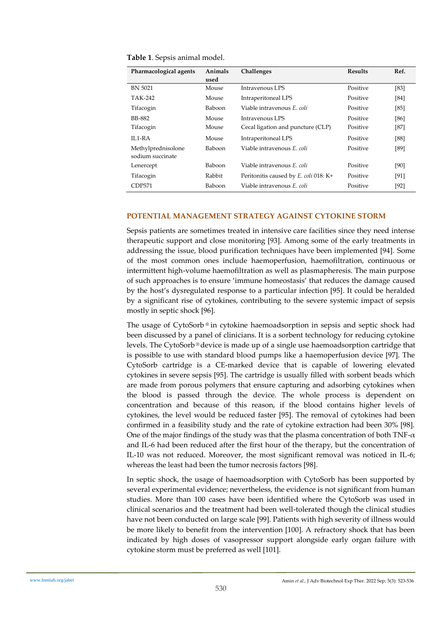| Table 1. Sepsis animal model. |  |  |  |
|-------------------------------|--|--|--|
|-------------------------------|--|--|--|

| Pharmacological agents | Animals<br>used | Challenges                            | <b>Results</b> | Ref.   |
|------------------------|-----------------|---------------------------------------|----------------|--------|
| <b>BN 5021</b>         | Mouse           | Intravenous LPS                       | Positive       | [83]   |
| TAK-242                | Mouse           | Intraperitoneal LPS                   | Positive       | [84]   |
| Tifacogin              | Baboon          | Viable intravenous E. coli            | Positive       | [85]   |
| BB-882                 | Mouse           | Intravenous LPS                       | Positive       | [86]   |
| Tifacogin              | Mouse           | Cecal ligation and puncture (CLP)     | Positive       | $[87]$ |
| $II.1-RA$              | Mouse           | Intraperitoneal LPS                   | Positive       | [88]   |
| Methylprednisolone     | <b>Baboon</b>   | Viable intravenous E. coli            | Positive       | [89]   |
| sodium succinate       |                 |                                       |                |        |
| Lenercept              | Baboon          | Viable intravenous E. coli            | Positive       | [90]   |
| Tifacogin              | Rabbit          | Peritonitis caused by E. coli 018: K+ | Positive       | [91]   |
| CDP571                 | Baboon          | Viable intravenous E. coli            | Positive       | $[92]$ |

# **POTENTIAL MANAGEMENT STRATEGY AGAINST CYTOKINE STORM**

Sepsis patients are sometimes treated in intensive care facilities since they need intense therapeutic support and close monitoring [93]. Among some of the early treatments in addressing the issue, blood purification techniques have been implemented [94]. Some of the most common ones include haemoperfusion, haemofiltration, continuous or intermittent high-volume haemofiltration as well as plasmapheresis. The main purpose of such approaches is to ensure 'immune homeostasis' that reduces the damage caused by the host's dysregulated response to a particular infection [95]. It could be heralded by a significant rise of cytokines, contributing to the severe systemic impact of sepsis mostly in septic shock [96].

The usage of CytoSorb ® in cytokine haemoadsorption in sepsis and septic shock had been discussed by a panel of clinicians. It is a sorbent technology for reducing cytokine levels. The CytoSorb ® device is made up of a single use haemoadsorption cartridge that is possible to use with standard blood pumps like a haemoperfusion device [97]. The CytoSorb cartridge is a CE-marked device that is capable of lowering elevated cytokines in severe sepsis [95]. The cartridge is usually filled with sorbent beads which are made from porous polymers that ensure capturing and adsorbing cytokines when the blood is passed through the device. The whole process is dependent on concentration and because of this reason, if the blood contains higher levels of cytokines, the level would be reduced faster [95]. The removal of cytokines had been confirmed in a feasibility study and the rate of cytokine extraction had been 30% [98]. One of the major findings of the study was that the plasma concentration of both  $TNF-\alpha$ and IL-6 had been reduced after the first hour of the therapy, but the concentration of IL-10 was not reduced. Moreover, the most significant removal was noticed in IL-6; whereas the least had been the tumor necrosis factors [98].

In septic shock, the usage of haemoadsorption with CytoSorb has been supported by several experimental evidence; nevertheless, the evidence is not significant from human studies. More than 100 cases have been identified where the CytoSorb was used in clinical scenarios and the treatment had been well-tolerated though the clinical studies have not been conducted on large scale [99]. Patients with high severity of illness would be more likely to benefit from the intervention [100]. A refractory shock that has been indicated by high doses of vasopressor support alongside early organ failure with cytokine storm must be preferred as well [101].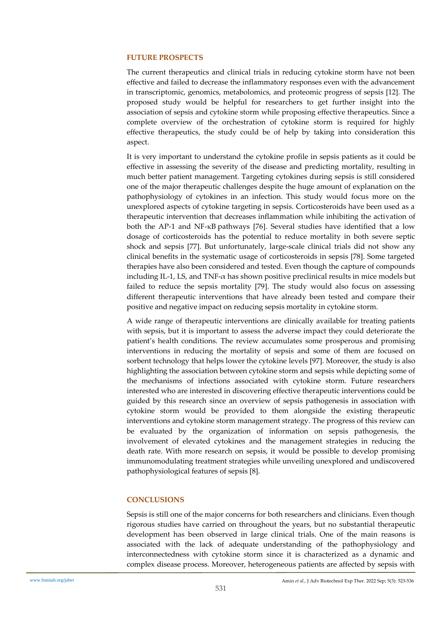## **FUTURE PROSPECTS**

The current therapeutics and clinical trials in reducing cytokine storm have not been effective and failed to decrease the inflammatory responses even with the advancement in transcriptomic, genomics, metabolomics, and proteomic progress of sepsis [12]. The proposed study would be helpful for researchers to get further insight into the association of sepsis and cytokine storm while proposing effective therapeutics. Since a complete overview of the orchestration of cytokine storm is required for highly effective therapeutics, the study could be of help by taking into consideration this aspect.

It is very important to understand the cytokine profile in sepsis patients as it could be effective in assessing the severity of the disease and predicting mortality, resulting in much better patient management. Targeting cytokines during sepsis is still considered one of the major therapeutic challenges despite the huge amount of explanation on the pathophysiology of cytokines in an infection. This study would focus more on the unexplored aspects of cytokine targeting in sepsis. Corticosteroids have been used as a therapeutic intervention that decreases inflammation while inhibiting the activation of both the AP-1 and NF-κB pathways [76]. Several studies have identified that a low dosage of corticosteroids has the potential to reduce mortality in both severe septic shock and sepsis [77]. But unfortunately, large-scale clinical trials did not show any clinical benefits in the systematic usage of corticosteroids in sepsis [78]. Some targeted therapies have also been considered and tested. Even though the capture of compounds including IL-1, LS, and TNF- $\alpha$  has shown positive preclinical results in mice models but failed to reduce the sepsis mortality [79]. The study would also focus on assessing different therapeutic interventions that have already been tested and compare their positive and negative impact on reducing sepsis mortality in cytokine storm.

A wide range of therapeutic interventions are clinically available for treating patients with sepsis, but it is important to assess the adverse impact they could deteriorate the patient's health conditions. The review accumulates some prosperous and promising interventions in reducing the mortality of sepsis and some of them are focused on sorbent technology that helps lower the cytokine levels [97]. Moreover, the study is also highlighting the association between cytokine storm and sepsis while depicting some of the mechanisms of infections associated with cytokine storm. Future researchers interested who are interested in discovering effective therapeutic interventions could be guided by this research since an overview of sepsis pathogenesis in association with cytokine storm would be provided to them alongside the existing therapeutic interventions and cytokine storm management strategy. The progress of this review can be evaluated by the organization of information on sepsis pathogenesis, the involvement of elevated cytokines and the management strategies in reducing the death rate. With more research on sepsis, it would be possible to develop promising immunomodulating treatment strategies while unveiling unexplored and undiscovered pathophysiological features of sepsis [8].

# **CONCLUSIONS**

Sepsis is still one of the major concerns for both researchers and clinicians. Even though rigorous studies have carried on throughout the years, but no substantial therapeutic development has been observed in large clinical trials. One of the main reasons is associated with the lack of adequate understanding of the pathophysiology and interconnectedness with cytokine storm since it is characterized as a dynamic and complex disease process. Moreover, heterogeneous patients are affected by sepsis with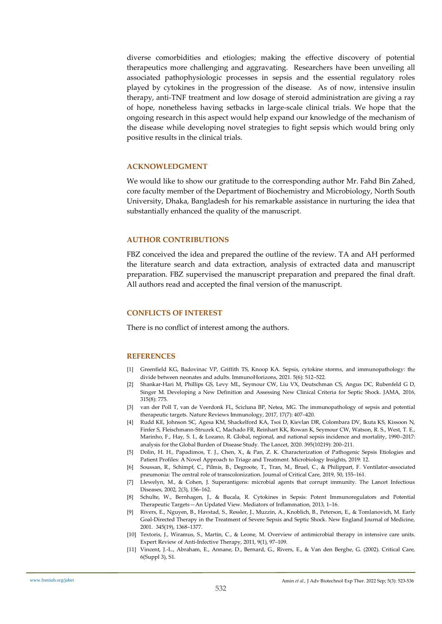diverse comorbidities and etiologies; making the effective discovery of potential therapeutics more challenging and aggravating. Researchers have been unveiling all associated pathophysiologic processes in sepsis and the essential regulatory roles played by cytokines in the progression of the disease. As of now, intensive insulin therapy, anti-TNF treatment and low dosage of steroid administration are giving a ray of hope, nonetheless having setbacks in large-scale clinical trials. We hope that the ongoing research in this aspect would help expand our knowledge of the mechanism of the disease while developing novel strategies to fight sepsis which would bring only positive results in the clinical trials.

#### **ACKNOWLEDGMENT**

We would like to show our gratitude to the corresponding author Mr. Fahd Bin Zahed, core faculty member of the Department of Biochemistry and Microbiology, North South University, Dhaka, Bangladesh for his remarkable assistance in nurturing the idea that substantially enhanced the quality of the manuscript.

## **AUTHOR CONTRIBUTIONS**

FBZ conceived the idea and prepared the outline of the review. TA and AH performed the literature search and data extraction, analysis of extracted data and manuscript preparation. FBZ supervised the manuscript preparation and prepared the final draft. All authors read and accepted the final version of the manuscript.

# **CONFLICTS OF INTEREST**

There is no conflict of interest among the authors.

### **REFERENCES**

- [1] Greenfield KG, Badovinac VP, Griffith TS, Knoop KA. Sepsis, cytokine storms, and immunopathology: the divide between neonates and adults. ImmunoHorizons, 2021. 5(6): 512–522.
- [2] Shankar-Hari M, Phillips GS, Levy ML, Seymour CW, Liu VX, Deutschman CS, Angus DC, Rubenfeld G D, Singer M. Developing a New Definition and Assessing New Clinical Criteria for Septic Shock. JAMA, 2016, 315(8): 775.
- [3] van der Poll T, van de Veerdonk FL, Scicluna BP, Netea, MG. The immunopathology of sepsis and potential therapeutic targets. Nature Reviews Immunology, 2017, 17(7): 407–420.
- [4] Rudd KE, Johnson SC, Agesa KM, Shackelford KA, Tsoi D, Kievlan DR, Colombara DV, Ikuta KS, Kissoon N, Finfer S, Fleischmann-Struzek C, Machado FR, Reinhart KK, Rowan K, Seymour CW, Watson, R. S., West, T. E., Marinho, F., Hay, S. I., & Lozano, R. Global, regional, and national sepsis incidence and mortality, 1990–2017: analysis for the Global Burden of Disease Study. The Lancet, 2020. 395(10219): 200–211.
- [5] Dolin, H. H., Papadimos, T. J., Chen, X., & Pan, Z. K. Characterization of Pathogenic Sepsis Etiologies and Patient Profiles: A Novel Approach to Triage and Treatment. Microbiology Insights, 2019: 12.
- [6] Soussan, R., Schimpf, C., Pilmis, B., Degroote, T., Tran, M., Bruel, C., & Philippart, F. Ventilator-associated pneumonia: The central role of transcolonization. Journal of Critical Care, 2019, 50, 155–161.
- [7] Llewelyn, M., & Cohen, J. Superantigens: microbial agents that corrupt immunity. The Lancet Infectious Diseases, 2002, 2(3), 156–162.
- [8] Schulte, W., Bernhagen, J., & Bucala, R. Cytokines in Sepsis: Potent Immunoregulators and Potential Therapeutic Targets—An Updated View. Mediators of Inflammation, 2013, 1–16.
- [9] Rivers, E., Nguyen, B., Havstad, S., Ressler, J., Muzzin, A., Knoblich, B., Peterson, E., & Tomlanovich, M. Early Goal-Directed Therapy in the Treatment of Severe Sepsis and Septic Shock. New England Journal of Medicine, 2001. 345(19), 1368–1377.
- [10] Textoris, J., Wiramus, S., Martin, C., & Leone, M. Overview of antimicrobial therapy in intensive care units. Expert Review of Anti-Infective Therapy, 2011, 9(1), 97–109.
- [11] Vincent, J.-L., Abraham, E., Annane, D., Bernard, G., Rivers, E., & Van den Berghe, G. (2002). Critical Care, 6(Suppl 3), S1.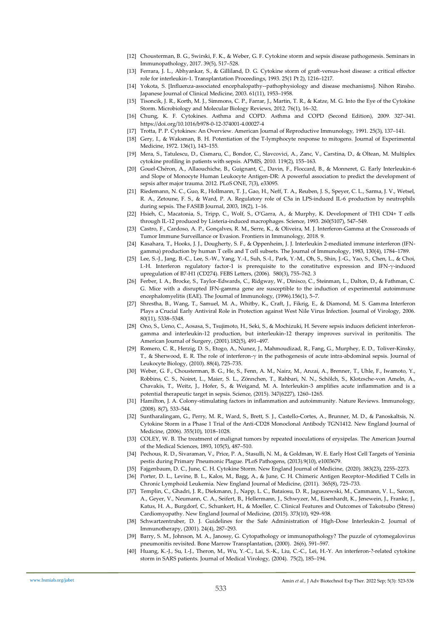- [12] Chousterman, B. G., Swirski, F. K., & Weber, G. F. Cytokine storm and sepsis disease pathogenesis. Seminars in Immunopathology, 2017. 39(5), 517–528.
- [13] Ferrara, J. L., Abhyankar, S., & Gilliland, D. G. Cytokine storm of graft-versus-host disease: a critical effector role for interleukin-1. Transplantation Proceedings, 1993. 25(1 Pt 2), 1216–1217.
- [14] Yokota, S. [Influenza-associated encephalopathy--pathophysiology and disease mechanisms]. Nihon Rinsho. Japanese Journal of Clinical Medicine, 2003. 61(11), 1953–1958.
- [15] Tisoncik, J. R., Korth, M. J., Simmons, C. P., Farrar, J., Martin, T. R., & Katze, M. G. Into the Eye of the Cytokine Storm. Microbiology and Molecular Biology Reviews, 2012. 76(1), 16–32.
- [16] Chung, K. F. Cytokines. Asthma and COPD. Asthma and COPD (Second Edition), 2009. 327–341. https://doi.org/10.1016/b978-0-12-374001-4.00027-4
- [17] Trotta, P. P. Cytokines: An Overview. American Journal of Reproductive Immunology, 1991. 25(3), 137–141.
- [18] Gery, I., & Waksman, B. H. Potentiation of the T-lymphocyte response to mitogens. Journal of Experimental Medicine, 1972. 136(1), 143–155.
- [19] Mera, S., Tatulescu, D., Cismaru, C., Bondor, C., Slavcovici, A., Zanc, V., Carstina, D., & Oltean, M. Multiplex cytokine profiling in patients with sepsis. APMIS, 2010. 119(2), 155–163.
- [20] Gouel-Chéron, A., Allaouchiche, B., Guignant, C., Davin, F., Floccard, B., & Monneret, G. Early Interleukin-6 and Slope of Monocyte Human Leukocyte Antigen-DR: A powerful association to predict the development of sepsis after major trauma. 2012. PLoS ONE, 7(3), e33095.
- [21] Riedemann, N. C., Guo, R., Hollmann, T. J., Gao, H., Neff, T. A., Reuben, J. S., Speyer, C. L., Sarma, J. V., Wetsel, R. A., Zetoune, F. S., & Ward, P. A. Regulatory role of C5a in LPS-induced IL-6 production by neutrophils during sepsis. The FASEB Journal, 2003, 18(2), 1–16.
- [22] Hsieh, C., Macatonia, S., Tripp, C., Wolf, S., O'Garra, A., & Murphy, K. Development of TH1 CD4+ T cells through IL-12 produced by Listeria-induced macrophages. Science, 1993. 260(5107), 547–549.
- [23] Castro, F., Cardoso, A. P., Gonçalves, R. M., Serre, K., & Oliveira, M. J. Interferon-Gamma at the Crossroads of Tumor Immune Surveillance or Evasion. Frontiers in Immunology, 2018. 9.
- [24] Kasahara, T., Hooks, J. J., Dougherty, S. F., & Oppenheim, J. J. Interleukin 2-mediated immune interferon (IFNgamma) production by human T cells and T cell subsets. The Journal of Immunology, 1983, 130(4), 1784–1789.
- [25] Lee, S.-J., Jang, B.-C., Lee, S.-W., Yang, Y.-I., Suh, S.-I., Park, Y.-M., Oh, S., Shin, J.-G., Yao, S., Chen, L., & Choi, I.-H. Interferon regulatory factor-1 is prerequisite to the constitutive expression and IFN-γ-induced upregulation of B7-H1 (CD274). FEBS Letters, (2006). 580(3), 755–762. 3
- [26] Ferber, I. A., Brocke, S., Taylor-Edwards, C., Ridgway, W., Dinisco, C., Steinman, L., Dalton, D., & Fathman, C. G. Mice with a disrupted IFN-gamma gene are susceptible to the induction of experimental autoimmune encephalomyelitis (EAE). The Journal of Immunology, (1996).156(1), 5–7.
- [27] Shrestha, B., Wang, T., Samuel, M. A., Whitby, K., Craft, J., Fikrig, E., & Diamond, M. S. Gamma Interferon Plays a Crucial Early Antiviral Role in Protection against West Nile Virus Infection. Journal of Virology, 2006. 80(11), 5338–5348.
- [28] Ono, S., Ueno, C., Aosasa, S., Tsujimoto, H., Seki, S., & Mochizuki, H. Severe sepsis induces deficient interferongamma and interleukin-12 production, but interleukin-12 therapy improves survival in peritonitis. The American Journal of Surgery, (2001).182(5), 491–497.
- [29] Romero, C. R., Herzig, D. S., Etogo, A., Nunez, J., Mahmoudizad, R., Fang, G., Murphey, E. D., Toliver-Kinsky, T., & Sherwood, E. R. The role of interferon-γ in the pathogenesis of acute intra-abdominal sepsis. Journal of Leukocyte Biology, (2010). 88(4), 725–735.
- [30] Weber, G. F., Chousterman, B. G., He, S., Fenn, A. M., Nairz, M., Anzai, A., Brenner, T., Uhle, F., Iwamoto, Y., Robbins, C. S., Noiret, L., Maier, S. L., Zönnchen, T., Rahbari, N. N., Schölch, S., Klotzsche-von Ameln, A., Chavakis, T., Weitz, J., Hofer, S., & Weigand, M. A. Interleukin-3 amplifies acute inflammation and is a potential therapeutic target in sepsis. Science, (2015). 347(6227), 1260–1265.
- [31] Hamilton, J. A. Colony-stimulating factors in inflammation and autoimmunity. Nature Reviews. Immunology, (2008). 8(7), 533–544.
- [32] Suntharalingam, G., Perry, M. R., Ward, S., Brett, S. J., Castello-Cortes, A., Brunner, M. D., & Panoskaltsis, N. Cytokine Storm in a Phase 1 Trial of the Anti-CD28 Monoclonal Antibody TGN1412. New England Journal of Medicine, (2006). 355(10), 1018–1028.
- [33] COLEY, W. B. The treatment of malignat tumors by repeated inoculations of erysipelas. The American Journal of the Medical Sciences, 1893, 105(5), 487–510.
- [34] Pechous, R. D., Sivaraman, V., Price, P. A., Stasulli, N. M., & Goldman, W. E. Early Host Cell Targets of Yersinia pestis during Primary Pneumonic Plague. PLoS Pathogens, (2013).9(10), e1003679.
- [35] Fajgenbaum, D. C., June, C. H. Cytokine Storm. New England Journal of Medicine, (2020). 383(23), 2255–2273.
- [36] Porter, D. L., Levine, B. L., Kalos, M., Bagg, A., & June, C. H. Chimeric Antigen Receptor–Modified T Cells in Chronic Lymphoid Leukemia. New England Journal of Medicine, (2011). 365(8), 725–733.
- [37] Templin, C., Ghadri, J. R., Diekmann, J., Napp, L. C., Bataiosu, D. R., Jaguszewski, M., Cammann, V. L., Sarcon, A., Geyer, V., Neumann, C. A., Seifert, B., Hellermann, J., Schwyzer, M., Eisenhardt, K., Jenewein, J., Franke, J., Katus, H. A., Burgdorf, C., Schunkert, H., & Moeller, C. Clinical Features and Outcomes of Takotsubo (Stress) Cardiomyopathy. New England Journal of Medicine, (2015). 373(10), 929–938.
- [38] Schwartzentruber, D. J. Guidelines for the Safe Administration of High-Dose Interleukin-2. Journal of Immunotherapy, (2001). 24(4), 287–293.
- [39] Barry, S. M., Johnson, M. A., Janossy, G. Cytopathology or immunopathology? The puzzle of cytomegalovirus pneumonitis revisited. Bone Marrow Transplantation, (2000). 26(6), 591–597.
- [40] Huang, K.-J., Su, I.-J., Theron, M., Wu, Y.-C., Lai, S.-K., Liu, C.-C., Lei, H.-Y. An interferon-?-related cytokine storm in SARS patients. Journal of Medical Virology, (2004). 75(2), 185–194.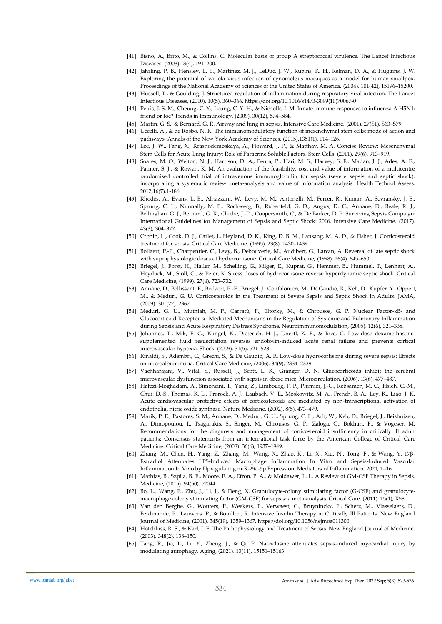- [41] Bisno, A., Brito, M., & Collins, C. Molecular basis of group A streptococcal virulence. The Lancet Infectious Diseases, (2003). 3(4), 191–200.
- [42] Jahrling, P. B., Hensley, L. E., Martinez, M. J., LeDuc, J. W., Rubins, K. H., Relman, D. A., & Huggins, J. W. Exploring the potential of variola virus infection of cynomolgus macaques as a model for human smallpox. Proceedings of the National Academy of Sciences of the United States of America, (2004). 101(42), 15196–15200.
- [43] Hussell, T., & Goulding, J. Structured regulation of inflammation during respiratory viral infection. The Lancet Infectious Diseases, (2010). 10(5), 360–366. https://doi.org/10.1016/s1473-3099(10)70067-0
- [44] Peiris, J. S. M., Cheung, C. Y., Leung, C. Y. H., & Nicholls, J. M. Innate immune responses to influenza A H5N1: friend or foe? Trends in Immunology, (2009). 30(12), 574–584.
- [45] Martin, G. S., & Bernard, G. R. Airway and lung in sepsis. Intensive Care Medicine, (2001). 27(S1), S63–S79.
- [46] Uccelli, A., & de Rosbo, N. K. The immunomodulatory function of mesenchymal stem cells: mode of action and pathways. Annals of the New York Academy of Sciences, (2015).1351(1), 114–126.
- [47] Lee, J. W., Fang, X., Krasnodembskaya, A., Howard, J. P., & Matthay, M. A. Concise Review: Mesenchymal Stem Cells for Acute Lung Injury: Role of Paracrine Soluble Factors. Stem Cells, (2011). 29(6), 913–919.
- [48] Soares, M. O., Welton, N. J., Harrison, D. A., Peura, P., Hari, M. S., Harvey, S. E., Madan, J. J., Ades, A. E., Palmer, S. J., & Rowan, K. M. An evaluation of the feasibility, cost and value of information of a multicentre randomised controlled trial of intravenous immunoglobulin for sepsis (severe sepsis and septic shock): incorporating a systematic review, meta-analysis and value of information analysis. Health Technol Assess. 2012;16(7):1-186.
- [49] Rhodes, A., Evans, L. E., Alhazzani, W., Levy, M. M., Antonelli, M., Ferrer, R., Kumar, A., Sevransky, J. E., Sprung, C. L., Nunnally, M. E., Rochwerg, B., Rubenfeld, G. D., Angus, D. C., Annane, D., Beale, R. J., Bellinghan, G. J., Bernard, G. R., Chiche, J.-D., Coopersmith, C., & De Backer, D. P. Surviving Sepsis Campaign: International Guidelines for Management of Sepsis and Septic Shock: 2016. Intensive Care Medicine, (2017). 43(3), 304–377.
- [50] Cronin, L., Cook, D. J., Carlet, J., Heyland, D. K., King, D. B. M., Lansang, M. A. D., & Fisher, J. Corticosteroid treatment for sepsis. Critical Care Medicine, (1995). 23(8), 1430–1439.
- [51] Bollaert, P.-E., Charpentier, C., Levy, B., Debouverie, M., Audibert, G., Larcan, A. Reversal of late septic shock with supraphysiologic doses of hydrocortisone. Critical Care Medicine, (1998). 26(4), 645–650.
- [52] Briegel, J., Forst, H., Haller, M., Schelling, G., Kilger, E., Kuprat, G., Hemmer, B., Hummel, T., Lenhart, A., Heyduck, M., Stoll, C., & Peter, K. Stress doses of hydrocortisone reverse hyperdynamic septic shock. Critical Care Medicine, (1999). 27(4), 723–732.
- [53] Annane, D., Bellissant, E., Bollaert, P.-E., Briegel, J., Confalonieri, M., De Gaudio, R., Keh, D., Kupfer, Y., Oppert, M., & Meduri, G. U. Corticosteroids in the Treatment of Severe Sepsis and Septic Shock in Adults. JAMA, (2009). 301(22), 2362.
- [54] Meduri, G. U., Muthiah, M. P., Carratù, P., Eltorky, M., & Chrousos, G. P. Nuclear Factor-ĸB- and Glucocorticoid Receptor α- Mediated Mechanisms in the Regulation of Systemic and Pulmonary Inflammation during Sepsis and Acute Respiratory Distress Syndrome. Neuroimmunomodulation, (2005). 12(6), 321–338.
- [55] Johannes, T., Mik, E. G., Klingel, K., Dieterich, H.-J., Unertl, K. E., & Ince, C. Low-dose dexamethasonesupplemented fluid resuscitation reverses endotoxin-induced acute renal failure and prevents cortical microvascular hypoxia. Shock, (2009). 31(5), 521–528.
- [56] Rinaldi, S., Adembri, C., Grechi, S., & De Gaudio, A. R. Low-dose hydrocortisone during severe sepsis: Effects on microalbuminuria. Critical Care Medicine, (2006). 34(9), 2334–2339.
- [57] Vachharajani, V., Vital, S., Russell, J., Scott, L. K., Granger, D. N. Glucocorticoids inhibit the cerebral microvascular dysfunction associated with sepsis in obese mice. Microcirculation, (2006). 13(6), 477–487.
- [58] Hafezi-Moghadam, A., Simoncini, T., Yang, Z., Limbourg, F. P., Plumier, J.-C., Rebsamen, M. C., Hsieh, C.-M., Chui, D.-S., Thomas, K. L., Prorock, A. J., Laubach, V. E., Moskowitz, M. A., French, B. A., Ley, K., Liao, J. K. Acute cardiovascular protective effects of corticosteroids are mediated by non-transcriptional activation of endothelial nitric oxide synthase. Nature Medicine, (2002). 8(5), 473–479.
- [59] Marik, P. E., Pastores, S. M., Annane, D., Meduri, G. U., Sprung, C. L., Arlt, W., Keh, D., Briegel, J., Beishuizen, A., Dimopoulou, I., Tsagarakis, S., Singer, M., Chrousos, G. P., Zaloga, G., Bokhari, F., & Vogeser, M. Recommendations for the diagnosis and management of corticosteroid insufficiency in critically ill adult patients: Consensus statements from an international task force by the American College of Critical Care Medicine. Critical Care Medicine, (2008). 36(6), 1937–1949.
- [60] Zhang, M., Chen, H., Yang, Z., Zhang, M., Wang, X., Zhao, K., Li, X., Xiu, N., Tong, F., & Wang, Y. 17β-Estradiol Attenuates LPS-Induced Macrophage Inflammation In Vitro and Sepsis-Induced Vascular Inflammation In Vivo by Upregulating miR-29a-5p Expression. Mediators of Inflammation, 2021, 1–16.
- [61] Mathias, B., Szpila, B. E., Moore, F. A., Efron, P. A., & Moldawer, L. L. A Review of GM-CSF Therapy in Sepsis. Medicine, (2015). 94(50), e2044.
- [62] Bo, L., Wang, F., Zhu, J., Li, J., & Deng, X. Granulocyte-colony stimulating factor (G-CSF) and granulocytemacrophage colony stimulating factor (GM-CSF) for sepsis: a meta-analysis. Critical Care, (2011). 15(1), R58.
- [63] Van den Berghe, G., Wouters, P., Weekers, F., Verwaest, C., Bruyninckx, F., Schetz, M., Vlasselaers, D., Ferdinande, P., Lauwers, P., & Bouillon, R. Intensive Insulin Therapy in Critically Ill Patients. New England Journal of Medicine, (2001). 345(19), 1359–1367. https://doi.org/10.1056/nejmoa011300
- [64] Hotchkiss, R. S., & Karl, I. E. The Pathophysiology and Treatment of Sepsis. New England Journal of Medicine, (2003). 348(2), 138–150.
- [65] Tang, R., Jia, L., Li, Y., Zheng, J., & Qi, P. Narciclasine attenuates sepsis-induced myocardial injury by modulating autophagy. Aging, (2021). 13(11), 15151–15163.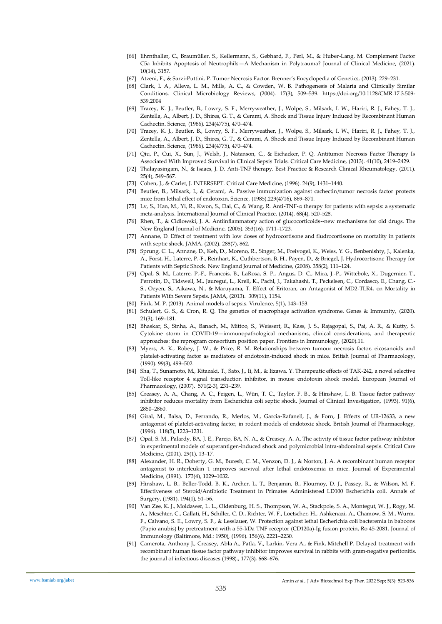- [66] Ehrnthaller, C., Braumüller, S., Kellermann, S., Gebhard, F., Perl, M., & Huber-Lang, M. Complement Factor C5a Inhibits Apoptosis of Neutrophils—A Mechanism in Polytrauma? Journal of Clinical Medicine, (2021). 10(14), 3157.
- [67] Atzeni, F., & Sarzi-Puttini, P. Tumor Necrosis Factor. Brenner's Encyclopedia of Genetics, (2013). 229–231.
- [68] Clark, I. A., Alleva, L. M., Mills, A. C., & Cowden, W. B. Pathogenesis of Malaria and Clinically Similar Conditions. Clinical Microbiology Reviews, (2004). 17(3), 509–539. https://doi.org/10.1128/CMR.17.3.509- 539.2004
- [69] Tracey, K. J., Beutler, B., Lowry, S. F., Merryweather, J., Wolpe, S., Milsark, I. W., Hariri, R. J., Fahey, T. J., Zentella, A., Albert, J. D., Shires, G. T., & Cerami, A. Shock and Tissue Injury Induced by Recombinant Human Cachectin. Science, (1986). 234(4775), 470–474.
- [70] Tracey, K. J., Beutler, B., Lowry, S. F., Merryweather, J., Wolpe, S., Milsark, I. W., Hariri, R. J., Fahey, T. J., Zentella, A., Albert, J. D., Shires, G. T., & Cerami, A. Shock and Tissue Injury Induced by Recombinant Human Cachectin. Science, (1986). 234(4775), 470–474.
- [71] Qiu, P., Cui, X., Sun, J., Welsh, J., Natanson, C., & Eichacker, P. Q. Antitumor Necrosis Factor Therapy Is Associated With Improved Survival in Clinical Sepsis Trials. Critical Care Medicine, (2013). 41(10), 2419–2429.
- [72] Thalayasingam, N., & Isaacs, J. D. Anti-TNF therapy. Best Practice & Research Clinical Rheumatology, (2011). 25(4), 549–567.
- [73] Cohen, J., & Carlet, J. INTERSEPT. Critical Care Medicine, (1996). 24(9), 1431–1440.
- [74] Beutler, B., Milsark, I., & Cerami, A. Passive immunization against cachectin/tumor necrosis factor protects mice from lethal effect of endotoxin. Science, (1985).229(4716), 869–871.
- [75] Lv, S., Han, M., Yi, R., Kwon, S., Dai, C., & Wang, R. Anti-TNF-α therapy for patients with sepsis: a systematic meta-analysis. International Journal of Clinical Practice, (2014). 68(4), 520–528.
- [76] Rhen, T., & Cidlowski, J. A. Antiinflammatory action of glucocorticoids--new mechanisms for old drugs. The New England Journal of Medicine, (2005). 353(16), 1711–1723.
- [77] Annane, D. Effect of treatment with low doses of hydrocortisone and fludrocortisone on mortality in patients with septic shock. JAMA, (2002). 288(7), 862.
- [78] Sprung, C. L., Annane, D., Keh, D., Moreno, R., Singer, M., Freivogel, K., Weiss, Y. G., Benbenishty, J., Kalenka, A., Forst, H., Laterre, P.-F., Reinhart, K., Cuthbertson, B. H., Payen, D., & Briegel, J. Hydrocortisone Therapy for Patients with Septic Shock. New England Journal of Medicine, (2008). 358(2), 111–124.
- [79] Opal, S. M., Laterre, P.-F., Francois, B., LaRosa, S. P., Angus, D. C., Mira, J.-P., Wittebole, X., Dugernier, T., Perrotin, D., Tidswell, M., Jauregui, L., Krell, K., Pachl, J., Takahashi, T., Peckelsen, C., Cordasco, E., Chang, C.- S., Oeyen, S., Aikawa, N., & Maruyama, T. Effect of Eritoran, an Antagonist of MD2-TLR4, on Mortality in Patients With Severe Sepsis. JAMA, (2013). 309(11), 1154.
- [80] Fink, M. P. (2013). Animal models of sepsis. Virulence, 5(1), 143–153.
- [81] Schulert, G. S., & Cron, R. Q. The genetics of macrophage activation syndrome. Genes & Immunity, (2020). 21(3), 169–181.
- [82] Bhaskar, S., Sinha, A., Banach, M., Mittoo, S., Weissert, R., Kass, J. S., Rajagopal, S., Pai, A. R., & Kutty, S. Cytokine storm in COVID-19—immunopathological mechanisms, clinical considerations, and therapeutic approaches: the reprogram consortium position paper. Frontiers in Immunology, (2020).11.
- [83] Myers, A. K., Robey, J. W., & Price, R. M. Relationships between tumour necrosis factor, eicosanoids and platelet-activating factor as mediators of endotoxin-induced shock in mice. British Journal of Pharmacology, (1990). 99(3), 499–502.
- [84] Sha, T., Sunamoto, M., Kitazaki, T., Sato, J., Ii, M., & Iizawa, Y. Therapeutic effects of TAK-242, a novel selective Toll-like receptor 4 signal transduction inhibitor, in mouse endotoxin shock model. European Journal of Pharmacology, (2007). 571(2-3), 231–239.
- [85] Creasey, A. A., Chang, A. C., Feigen, L., Wün, T. C., Taylor, F. B., & Hinshaw, L. B. Tissue factor pathway inhibitor reduces mortality from Escherichia coli septic shock. Journal of Clinical Investigation, (1993). 91(6), 2850–2860.
- [86] Giral, M., Balsa, D., Ferrando, R., Merlos, M., Garcia-Rafanell, J., & Forn, J. Effects of UR-12633, a new antagonist of platelet-activating factor, in rodent models of endotoxic shock. British Journal of Pharmacology, (1996). 118(5), 1223–1231.
- [87] Opal, S. M., Palardy, BA, J. E., Parejo, BA, N. A., & Creasey, A. A. The activity of tissue factor pathway inhibitor in experimental models of superantigen-induced shock and polymicrobial intra-abdominal sepsis. Critical Care Medicine, (2001). 29(1), 13–17.
- [88] Alexander, H. R., Doherty, G. M., Buresh, C. M., Venzon, D. J., & Norton, J. A. A recombinant human receptor antagonist to interleukin 1 improves survival after lethal endotoxemia in mice. Journal of Experimental Medicine, (1991). 173(4), 1029–1032.
- [89] Hinshaw, L. B., Beller-Todd, B. K., Archer, L. T., Benjamin, B., Flournoy, D. J., Passey, R., & Wilson, M. F. Effectiveness of Steroid/Antibiotic Treatment in Primates Administered LD100 Escherichia coli. Annals of Surgery, (1981). 194(1), 51–56.
- [90] Van Zee, K. J., Moldawer, L. L., Oldenburg, H. S., Thompson, W. A., Stackpole, S. A., Montegut, W. J., Rogy, M. A., Meschter, C., Gallati, H., Schiller, C. D., Richter, W. F., Loetscher, H., Ashkenazi, A., Chamow, S. M., Wurm, F., Calvano, S. E., Lowry, S. F., & Lesslauer, W. Protection against lethal Escherichia coli bacteremia in baboons (Papio anubis) by pretreatment with a 55-kDa TNF receptor (CD120a)-Ig fusion protein, Ro 45-2081. Journal of Immunology (Baltimore, Md.: 1950), (1996). 156(6), 2221–2230.
- [91] Camerota, Anthony J., Creasey, Abla A., Patla, V., Larkin, Vera A., & Fink, Mitchell P. Delayed treatment with recombinant human tissue factor pathway inhibitor improves survival in rabbits with gram‐negative peritonitis. the journal of infectious diseases (1998)., 177(3), 668–676.